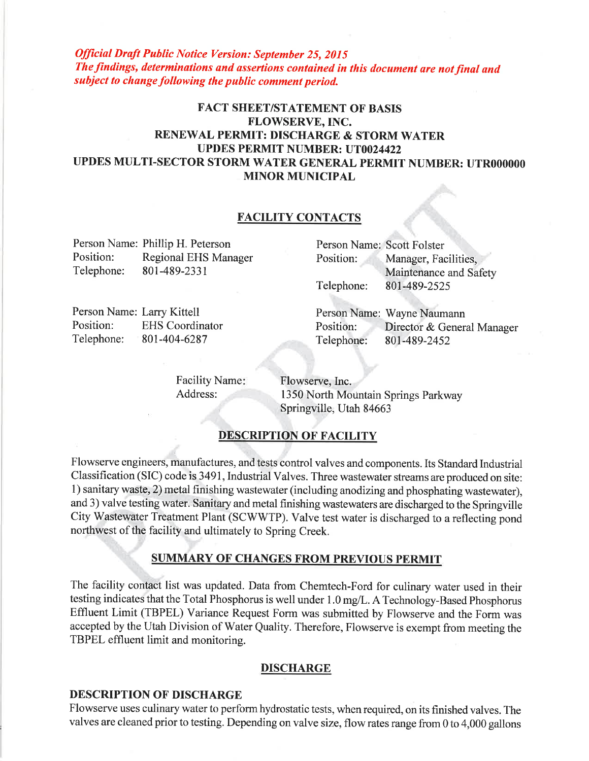**Official Draft Public Notice Version: September 25, 2015** The findings, determinations and assertions contained in this document are not final and subject to change following the public comment period.

# **FACT SHEET/STATEMENT OF BASIS** FLOWSERVE, INC. RENEWAL PERMIT: DISCHARGE & STORM WATER **UPDES PERMIT NUMBER: UT0024422** UPDES MULTI-SECTOR STORM WATER GENERAL PERMIT NUMBER: UTR000000 **MINOR MUNICIPAL**

### **FACILITY CONTACTS**

Person Name: Phillip H. Peterson Position: Regional EHS Manager Telephone: 801-489-2331

Person Name: Scott Folster Position: Manager, Facilities, Maintenance and Safety Telephone: 801-489-2525

Person Name: Larry Kittell Position: **EHS** Coordinator Telephone: 801-404-6287

Person Name: Wayne Naumann Position: Director & General Manager Telephone: 801-489-2452

**Facility Name:** Address:

Flowserve, Inc. 1350 North Mountain Springs Parkway Springville, Utah 84663

## **DESCRIPTION OF FACILITY**

Flowserve engineers, manufactures, and tests control valves and components. Its Standard Industrial Classification (SIC) code is 3491, Industrial Valves. Three wastewater streams are produced on site: 1) sanitary waste, 2) metal finishing wastewater (including anodizing and phosphating wastewater), and 3) valve testing water. Sanitary and metal finishing wastewaters are discharged to the Springville City Wastewater Treatment Plant (SCWWTP). Valve test water is discharged to a reflecting pond northwest of the facility and ultimately to Spring Creek.

### **SUMMARY OF CHANGES FROM PREVIOUS PERMIT**

The facility contact list was updated. Data from Chemtech-Ford for culinary water used in their testing indicates that the Total Phosphorus is well under 1.0 mg/L. A Technology-Based Phosphorus Effluent Limit (TBPEL) Variance Request Form was submitted by Flowserve and the Form was accepted by the Utah Division of Water Quality. Therefore, Flowserve is exempt from meeting the TBPEL effluent limit and monitoring.

### **DISCHARGE**

#### **DESCRIPTION OF DISCHARGE**

Flowserve uses culinary water to perform hydrostatic tests, when required, on its finished valves. The valves are cleaned prior to testing. Depending on valve size, flow rates range from 0 to 4,000 gallons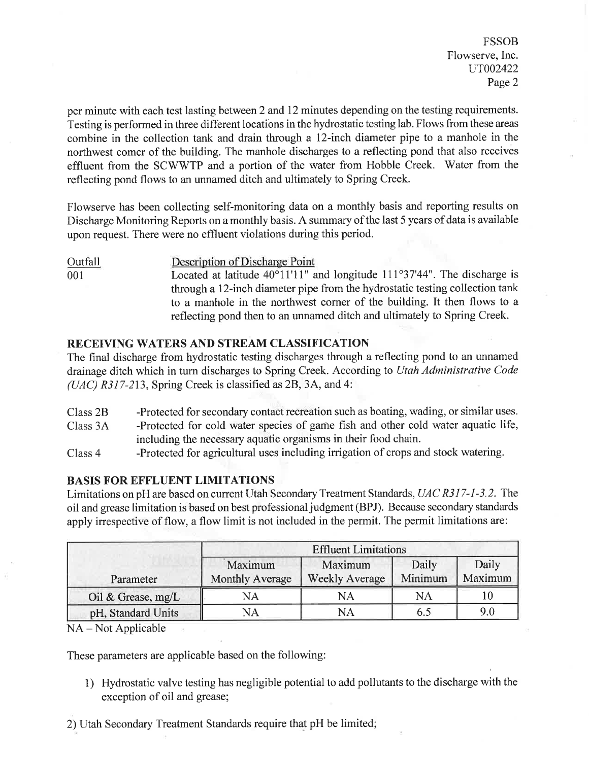FSSOB Flowserve, Inc. uT002422 Page 2

per minute with each test lasting between 2 and 12 minutes depending on the testing requirements. Testing is performed in three different locations in the hydrostatic testing lab. Flows from these areas combine in the collection tank and drain through a 12-inch diameter pipe to a manhole in the northwest comer of the building. The manhole discharges to a reflecting pond that also receives effluent from the SCWWTP and a portion of the water from Hobble Creek. Water from the reflecting pond flows to an unnamed ditch and ultimately to Spring Creek.

Flowserve has been collecting self-monitoring data on a monthly basis and reporting results on Discharge Monitoring Reports on a monthly basis. A summary of the last 5 years of data is available upon request. There were no effluent violations during this period.

Outfall Description of Discharge Point Located at latitude  $40^{\circ}11'11''$  and longitude  $111^{\circ}37'44''$ . The discharge is through a 12-inch diameter pipe from the hydrostatic testing collection tank to a manhole in the northwest corner of the building. It then flows to <sup>a</sup> reflecting pond then to an unnamed ditch and ultimately to Spring Creek. 001

### RECEIVING WATERS AND STREAM CLASSIFICATION

The final discharge from hydrostatic testing discharges through a reflecting pond to an unnamed drainage ditch which in turn discharges to Spring Creek. According to Utah Administrative Code  $(UAC)$  R317-213, Spring Creek is classified as 2B, 3A, and 4:

- Class 2B -Protected for secondary contact recreation such as boating, wading, or similar uses.
- Class 3A -Protected for cold water species of game fish and other cold water aquatic life, including the necessary aquatic organisms in their food chain.
- Class 4 -Protected for agricultural uses including irrigation of crops and stock watering.

#### BASIS FOR EFFLUENT LIMITATIONS

Limitations on pH are based on current Utah Secondary Treatment Standards, UAC R317-1-3.2. The oil and grease limitation is based on best professional judgment (BPJ). Because secondary standards apply irrespective of flow, a flow limit is not included in the permit. The permit limitations are:

|                      | <b>Effluent Limitations</b>       |                                  |                  |                  |
|----------------------|-----------------------------------|----------------------------------|------------------|------------------|
| Parameter            | Maximum<br><b>Monthly Average</b> | Maximum<br><b>Weekly Average</b> | Daily<br>Minimum | Daily<br>Maximum |
| Oil & Grease, $mg/L$ | NА                                | NА                               | NΑ               |                  |
| pH, Standard Units   | NА                                | NΑ                               |                  |                  |

NA - Not Applicable

These parameters are applicable based on the following:

- 1) Hydrostatic valve testing has negligible potential to add pollutants to the discharge with the exception of oil and grease;
- 2) Utah Secondary Treatment Standards require that pH be limited;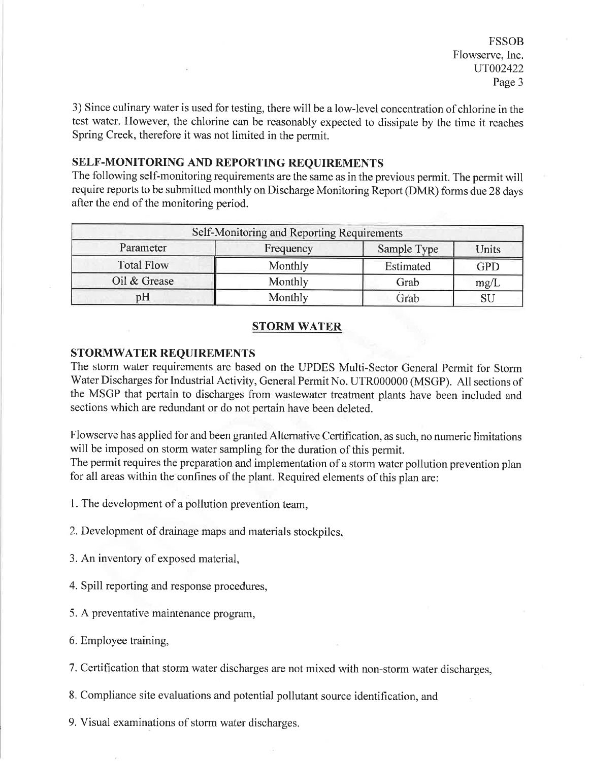FSSOB Flowserve, Inc. uT002422 Page 3

3) Since culinary water is used for testing, there will be a low-level concentration of chlorine in the test water. However, the chlorine can be reasonably expected to dissipate by the time it reaches Spring Creek, therefore it was not limited in the permit.

#### SELF-MONITORING AND REPORTING REQUIREMENTS

The following self-monitoring requirements are the same as in the previous permit. The permit will require reports to be submitted monthly on Discharge Monitoring Report (DMR) forms due 28 days after the end of the monitoring period.

| Self-Monitoring and Reporting Requirements |           |             |       |  |
|--------------------------------------------|-----------|-------------|-------|--|
| Parameter                                  | Frequency | Sample Type | Units |  |
| <b>Total Flow</b>                          | Monthly   | Estimated   | GPD   |  |
| Oil & Grease                               | Monthly   | Grab        | mg/L  |  |
| pH                                         | Monthly   | Grab        |       |  |

#### **STORM WATER**

#### STORMWATER REQUIREMENTS

The storm water requirements are based on the UPDES Multi-Sector General Permit for Storm Water Discharges for Industrial Activity, General Permit No. UTR000000 (MSGP). All sections of the MSGP that pertain to discharges from wastewater treatment plants have been included and sections which are redundant or do not pertain have been deleted.

Flowserve has applied for and been granted Alternative Certification, as such, no numeric limitations will be imposed on storm water sampling for the duration of this permit.

The permit requires the preparation and implementation of a storm water pollution prevention plan for all areas within the confines of the plant. Required elements of this plan are:

1. The development of a pollution prevention team,

2. Development of drainage maps and materials stockpiles,

3. An inventory of exposed material,

4. Spill reporting and response procedures,

5. A preventative maintenance program,

6. Employee training,

7. Certification that storm water discharges are not mixed with non-storm water discharges,

8. Compliance site evaluations and potential pollutant source identification, and

9. Visual examinations of storm water discharges.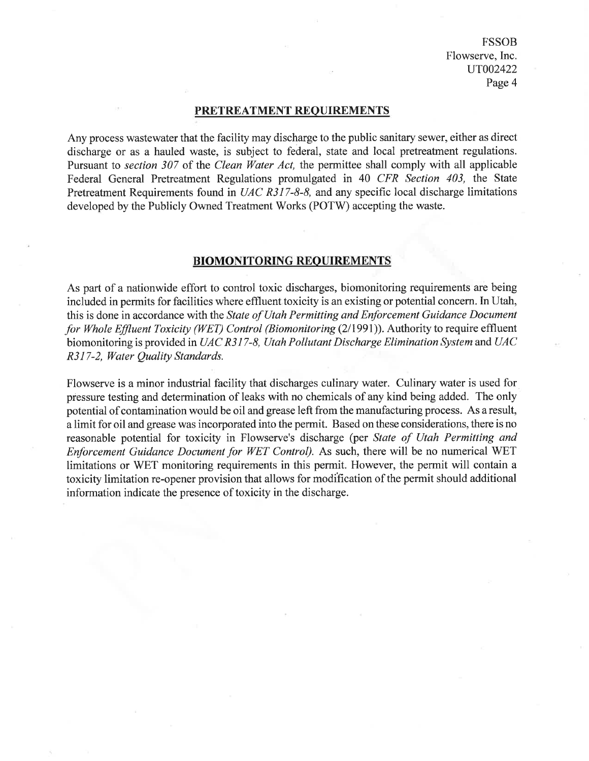FSSOB Flowserve, Inc. uT002422 Page 4

#### PRETREATMENT REOUIREMENTS

Any process wastewater that the facility may discharge to the public sanitary sewer, either as direct discharge or as a hauled waste, is subject to federal, state and local pretreatment regulations. Pursuant to *section 307* of the *Clean Water Act*, the permittee shall comply with all applicable Federal General Pretreatment Regulations promulgated in 40 CFR Section 403, the State Pretreatment Requirements found in UAC R317-8-8, and any specific local discharge limitations developed by the Publicly Owned Treatment Works (POTW) accepting the waste.

#### BIOMONITORING REOUIREMENTS

As part of a nationwide effort to control toxic discharges, biomonitoring requirements are being included in permits for facilities where effluent toxicity is an existing or potential concern. In Utah, this is done in accordance with the State of Utah Permitting and Enforcement Guidance Document for Whole Effluent Toxicity (WET) Control (Biomonitoring (2/1991)). Authority to require effluent biomonitoring is provided in UAC R317-8, Utah Pollutant Discharge Elimination System and UAC R3l7-2, Water Quality Støndards.

Flowserve is a minor industrial facility that discharges culinary water. Culinary water is used for pressure testing and determination of leaks with no chemicals of any kind being added. The only potential of contamination would be oil and grease left from the manufacturing process. As a result, <sup>a</sup>limit for oil and grease was incorporated into the permit. Based on these considerations, there is no reasonable potential for toxicity in Flowserve's discharge (per State of Utah Permitting and Enforcement Guidance Document for WET Control). As such, there will be no numerical WET limitations or WET monitoring requirements in this permit. However, the permit will contain <sup>a</sup> toxicity limitation re-opener provision that allows for modification of the permit should additional information indicate the presence of toxicity in the discharge.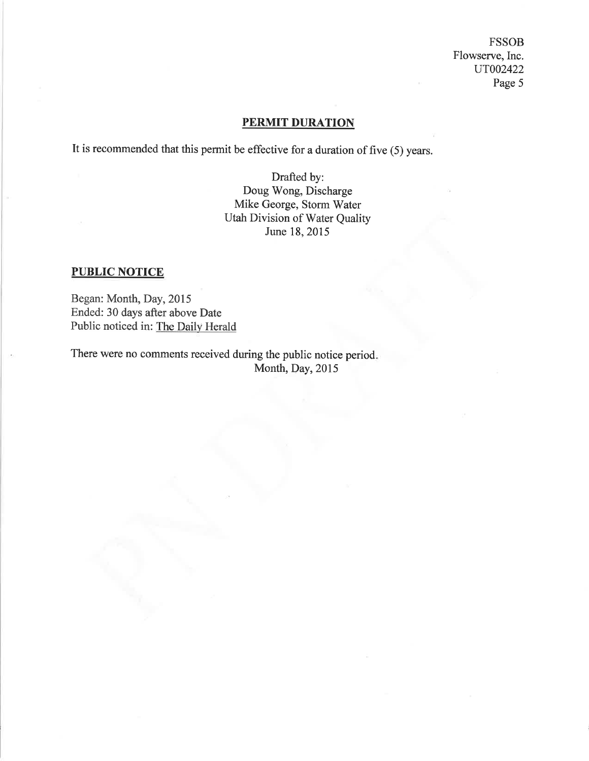**FSSOB** Flowserve, Inc. UT002422 Page 5

## **PERMIT DURATION**

It is recommended that this permit be effective for a duration of five  $(5)$  years.

Drafted by: Doug Wong, Discharge Mike George, Storm Water Utah Division of Water Quality June 18, 2015

## **PUBLIC NOTICE**

Began: Month, Day, 2015 Ended: 30 days after above Date Public noticed in: The Daily Herald

There were no comments received during the public notice period. Month, Day, 2015